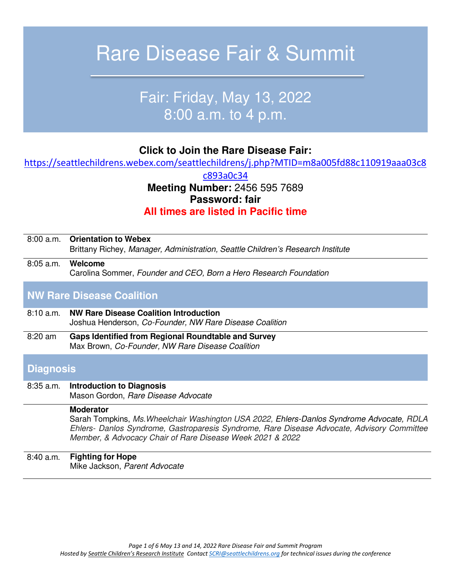# Rare Disease Fair & Summit

# Fair: Friday, May 13, 2022 8:00 a.m. to 4 p.m.

# **Click to Join the Rare Disease Fair:**

[https://seattlechildrens.webex.com/seattlechildrens/j.php?MTID=m8a005fd88c110919aaa03c8](https://seattlechildrens.webex.com/seattlechildrens/j.php?MTID=m8a005fd88c110919aaa03c8c893a0c34)

[c893a0c34](https://seattlechildrens.webex.com/seattlechildrens/j.php?MTID=m8a005fd88c110919aaa03c8c893a0c34) **Meeting Number:** 2456 595 7689 **Password: fair All times are listed in Pacific time** 

| 8:00 a.m.         | <b>Orientation to Webex</b><br>Brittany Richey, Manager, Administration, Seattle Children's Research Institute                                                                                                                                                           |
|-------------------|--------------------------------------------------------------------------------------------------------------------------------------------------------------------------------------------------------------------------------------------------------------------------|
| $8:05$ a.m.       | Welcome<br>Carolina Sommer, Founder and CEO, Born a Hero Research Foundation                                                                                                                                                                                             |
|                   | <b>NW Rare Disease Coalition</b>                                                                                                                                                                                                                                         |
| 8:10 a.m.         | <b>NW Rare Disease Coalition Introduction</b><br>Joshua Henderson, Co-Founder, NW Rare Disease Coalition                                                                                                                                                                 |
| $8:20 \text{ am}$ | <b>Gaps Identified from Regional Roundtable and Survey</b><br>Max Brown, Co-Founder, NW Rare Disease Coalition                                                                                                                                                           |
| <b>Diagnosis</b>  |                                                                                                                                                                                                                                                                          |
| $8:35$ a.m.       | <b>Introduction to Diagnosis</b><br>Mason Gordon, Rare Disease Advocate                                                                                                                                                                                                  |
|                   | <b>Moderator</b><br>Sarah Tompkins, Ms. Wheelchair Washington USA 2022, Ehlers-Danlos Syndrome Advocate, RDLA<br>Ehlers- Danlos Syndrome, Gastroparesis Syndrome, Rare Disease Advocate, Advisory Committee<br>Member, & Advocacy Chair of Rare Disease Week 2021 & 2022 |

8:40 a.m. **Fighting for Hope**  Mike Jackson, Parent Advocate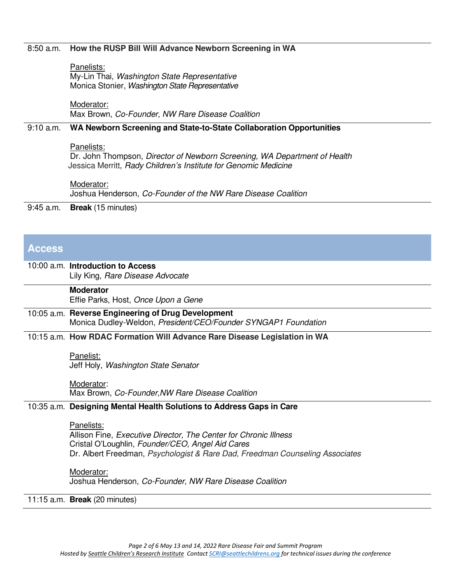## 8:50 a.m. **How the RUSP Bill Will Advance Newborn Screening in WA**

Panelists: My-Lin Thai, Washington State Representative Monica Stonier, Washington State Representative

Moderator: Max Brown, Co-Founder, NW Rare Disease Coalition

#### 9:10 a.m. **WA Newborn Screening and State-to-State Collaboration Opportunities**

#### Panelists:

Dr. John Thompson, Director of Newborn Screening, WA Department of Health Jessica Merritt, Rady *Children's* Institute for Genomic Medicine

Moderator:

Joshua Henderson, Co-Founder of the NW Rare Disease Coalition

9:45 a.m. **Break** (15 minutes)

# **Access**

## 10:00 a.m. **Introduction to Access**

Lily King, Rare Disease Advocate

**Moderator**  Effie Parks, Host, Once Upon a Gene

#### 10:05 a.m. **Reverse Engineering of Drug Development**  Monica Dudley-Weldon, President/CEO/Founder SYNGAP1 Foundation

#### 10:15 a.m. **How RDAC Formation Will Advance Rare Disease Legislation in WA**

Panelist: Jeff Holy, Washington State Senator

Moderator: Max Brown, Co-Founder,NW Rare Disease Coalition

## 10:35 a.m. **Designing Mental Health Solutions to Address Gaps in Care**

#### Panelists:

Allison Fine, Executive Director, The Center for Chronic Illness Cristal O'Loughlin, Founder/CEO, Angel Aid Cares Dr. Albert Freedman, Psychologist & Rare Dad, Freedman Counseling Associates

Moderator:

Joshua Henderson, Co-Founder, NW Rare Disease Coalition

11:15 a.m. **Break** (20 minutes)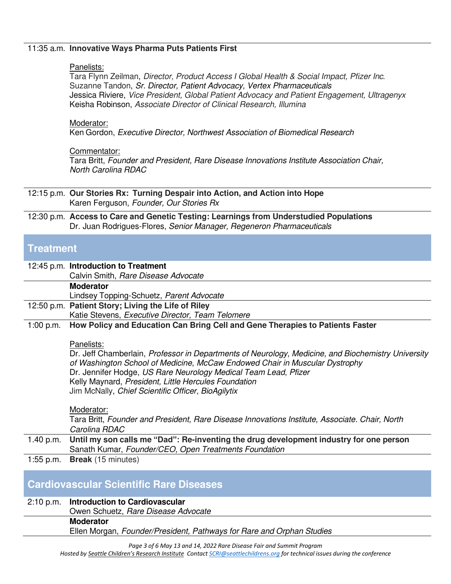## 11:35 a.m. **Innovative Ways Pharma Puts Patients First**

#### Panelists:

Tara Flynn Zeilman, Director, Product Access I Global Health & Social Impact, Pfizer Inc. Suzanne Tandon, Sr. Director, Patient Advocacy, Vertex Pharmaceuticals Jessica Riviere, Vice President, Global Patient Advocacy and Patient Engagement, Ultragenyx Keisha Robinson, Associate Director of Clinical Research, Illumina

#### Moderator:

Ken Gordon, Executive Director, Northwest Association of Biomedical Research

# Commentator:

Tara Britt, Founder and President, Rare Disease Innovations Institute Association Chair, North Carolina RDAC

|  | 12:15 p.m. Our Stories Rx: Turning Despair into Action, and Action into Hope |
|--|------------------------------------------------------------------------------|
|  | Karen Ferguson, Founder, Our Stories Rx                                      |

12:30 p.m. **Access to Care and Genetic Testing: Learnings from Understudied Populations** Dr. Juan Rodrigues-Flores, Senior Manager, Regeneron Pharmaceuticals

# **Treatment**

# 12:45 p.m. **Introduction to Treatment**

Calvin Smith, Rare Disease Advocate

# **Moderator**  Lindsey Topping-Schuetz, Parent Advocate 12:50 p.m. **Patient Story; Living the Life of Riley** Katie Stevens, Executive Director, Team Telomere

1:00 p.m. **How Policy and Education Can Bring Cell and Gene Therapies to Patients Faster**

## Panelists:

Dr. Jeff Chamberlain, Professor in Departments of Neurology, Medicine, and Biochemistry University of Washington School of Medicine, McCaw Endowed Chair in Muscular Dystrophy Dr. Jennifer Hodge, US Rare Neurology Medical Team Lead, Pfizer Kelly Maynard, President, Little Hercules Foundation Jim McNally, Chief Scientific Officer, BioAgilytix

#### Moderator:

Tara Britt, Founder and President, Rare Disease Innovations Institute, Associate. Chair, North Carolina RDAC

# 1.40 p.m. **Until my son calls me "Dad": Re-inventing the drug development industry for one person** Sanath Kumar, Founder/CEO, Open Treatments Foundation

1:55 p.m. **Break** (15 minutes)

# **Cardiovascular Scientific Rare Diseases**

| 2:10 p.m. Introduction to Cardiovascular                              |  |
|-----------------------------------------------------------------------|--|
| Owen Schuetz, Rare Disease Advocate                                   |  |
| <b>Moderator</b>                                                      |  |
| Ellen Morgan, Founder/President, Pathways for Rare and Orphan Studies |  |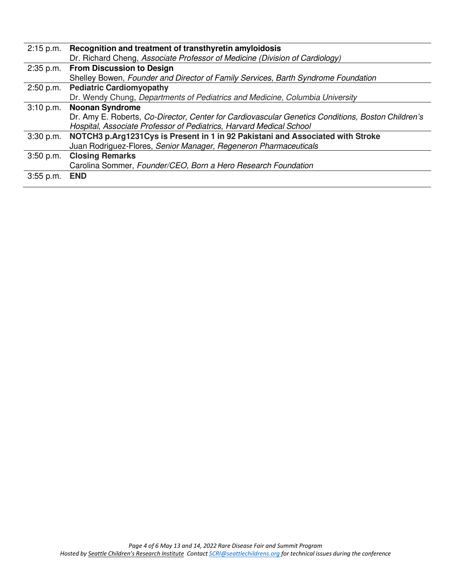| $2:15$ p.m. | Recognition and treatment of transthyretin amyloidosis                                            |
|-------------|---------------------------------------------------------------------------------------------------|
|             | Dr. Richard Cheng, Associate Professor of Medicine (Division of Cardiology)                       |
|             | 2:35 p.m. From Discussion to Design                                                               |
|             | Shelley Bowen, Founder and Director of Family Services, Barth Syndrome Foundation                 |
| $2:50$ p.m. | <b>Pediatric Cardiomyopathy</b>                                                                   |
|             | Dr. Wendy Chung, Departments of Pediatrics and Medicine, Columbia University                      |
|             | 3:10 p.m. Noonan Syndrome                                                                         |
|             | Dr. Amy E. Roberts, Co-Director, Center for Cardiovascular Genetics Conditions, Boston Children's |
|             | Hospital, Associate Professor of Pediatrics, Harvard Medical School                               |
|             | 3:30 p.m. NOTCH3 p.Arg1231Cys is Present in 1 in 92 Pakistani and Associated with Stroke          |
|             | Juan Rodriguez-Flores, Senior Manager, Regeneron Pharmaceuticals                                  |
| $3:50$ p.m. | <b>Closing Remarks</b>                                                                            |
|             | Carolina Sommer, Founder/CEO, Born a Hero Research Foundation                                     |
| $3:55$ p.m. | <b>END</b>                                                                                        |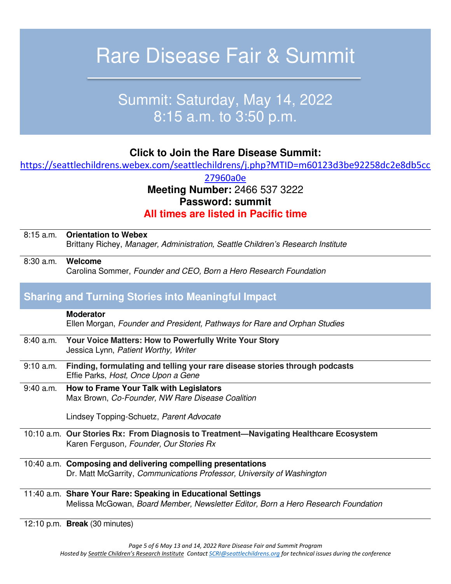# Rare Disease Fair & Summit

# Summit: Saturday, May 14, 2022 8:15 a.m. to 3:50 p.m.

# **Click to Join the Rare Disease Summit:**

[https://seattlechildrens.webex.com/seattlechildrens/j.php?MTID=m60123d3be92258dc2e8db5cc](https://seattlechildrens.webex.com/seattlechildrens/j.php?MTID=m60123d3be92258dc2e8db5cc27960a0e)

[27960a0e](https://seattlechildrens.webex.com/seattlechildrens/j.php?MTID=m60123d3be92258dc2e8db5cc27960a0e) **Meeting Number:** 2466 537 3222 **Password: summit**

# **All times are listed in Pacific time**

| 8:15 a.m. Orientation to Webex                                                  |  |
|---------------------------------------------------------------------------------|--|
| Brittany Richey, Manager, Administration, Seattle Children's Research Institute |  |

# 8:30 a.m. **Welcome**

Carolina Sommer, Founder and CEO, Born a Hero Research Foundation

# **Sharing and Turning Stories into Meaningful Impact**

**Moderator** 

Ellen Morgan, Founder and President, Pathways for Rare and Orphan Studies

- 8:40 a.m. **Your Voice Matters: How to Powerfully Write Your Story** Jessica Lynn, Patient Worthy, Writer
- 9:10 a.m. **Finding, formulating and telling your rare disease stories through podcasts** Effie Parks, Host, Once Upon a Gene
- 9:40 a.m. **How to Frame Your Talk with Legislators**  Max Brown, Co-Founder, NW Rare Disease Coalition

Lindsey Topping-Schuetz, Parent Advocate

- 10:10 a.m. **Our Stories Rx: From Diagnosis to Treatment—Navigating Healthcare Ecosystem** Karen Ferguson, Founder, Our Stories Rx
- 10:40 a.m. **Composing and delivering compelling presentations**  Dr. Matt McGarrity, Communications Professor, University of Washington
- 11:40 a.m. **Share Your Rare: Speaking in Educational Settings**  Melissa McGowan, Board Member, Newsletter Editor, Born a Hero Research Foundation

12:10 p.m. **Break** (30 minutes)